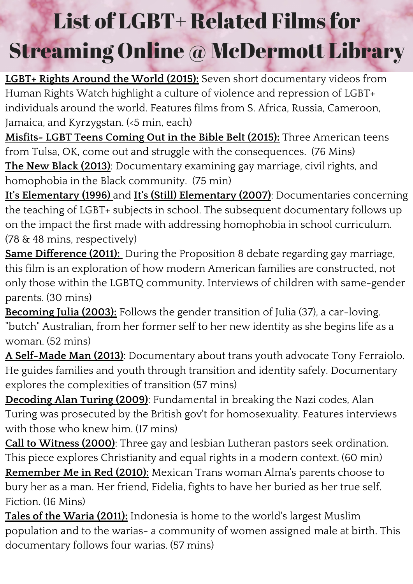**LGBT+ Rights Around the World (2015):** Seven short documentary videos from Human Rights Watch highlight a culture of violence and repression of LGBT+ individuals around the world. Features films from S. Africa, Russia, Cameroon, Jamaica, and Kyrzygstan. (<5 min, each)

**Misfits- LGBT Teens Coming Out in the Bible Belt (2015):** Three American teens from Tulsa, OK, come out and struggle with the consequences. (76 Mins) **The New Black (2013)**: Documentary examining gay marriage, civil rights, and homophobia in the Black community. (75 min)

**It's Elementary (1996)** and **It's (Still) Elementary (2007)**: Documentaries concerning the teaching of LGBT+ subjects in school. The subsequent documentary follows up on the impact the first made with addressing homophobia in school curriculum. (78 & 48 mins, respectively)

**Same Difference (2011):** During the Proposition 8 debate regarding gay marriage, this film is an exploration of how modern American families are constructed, not only those within the LGBTQ community. Interviews of children with same-gender parents. (30 mins)

**Becoming Julia (2003):** Follows the gender transition of Julia (37), a car-loving. "butch" Australian, from her former self to her new identity as she begins life as a woman. (52 mins)

**A Self-Made Man (2013)**: Documentary about trans youth advocate Tony Ferraiolo. He guides families and youth through transition and identity safely. Documentary explores the complexities of transition (57 mins)

**Decoding Alan Turing (2009)**: Fundamental in breaking the Nazi codes, Alan Turing was prosecuted by the British gov't for homosexuality. Features interviews with those who knew him. (17 mins)

**Call to Witness (2000)**: Three gay and lesbian Lutheran pastors seek ordination. This piece explores Christianity and equal rights in a modern context. (60 min) **Remember Me in Red (2010):** Mexican Trans woman Alma's parents choose to bury her as a man. Her friend, Fidelia, fights to have her buried as her true self. Fiction. (16 Mins)

**Tales of the Waria (2011):** Indonesia is home to the world's largest Muslim population and to the warias- a community of women assigned male at birth. This documentary follows four warias. (57 mins)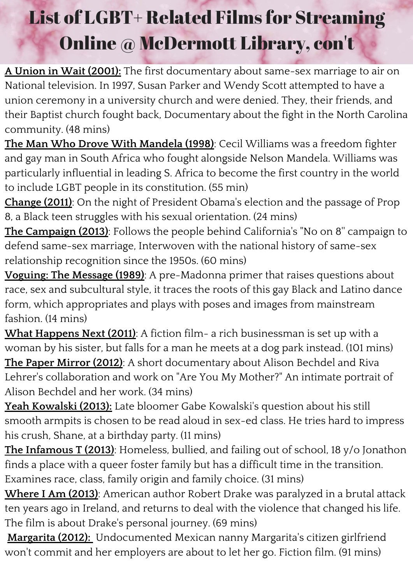**A Union in Wait (2001):** The first documentary about same-sex marriage to air on National television. In 1997, Susan Parker and Wendy Scott attempted to have a union ceremony in a university church and were denied. They, their friends, and their Baptist church fought back, Documentary about the fight in the North Carolina community. (48 mins)

**The Man Who Drove With Mandela (1998)**: Cecil Williams was a freedom fighter and gay man in South Africa who fought alongside Nelson Mandela. Williams was particularly influential in leading S. Africa to become the first country in the world to include LGBT people in its constitution. (55 min)

**Change (2011)**: On the night of President Obama's election and the passage of Prop 8, a Black teen struggles with his sexual orientation. (24 mins)

**The Campaign (2013)**: Follows the people behind California's "No on 8'' campaign to defend same-sex marriage, Interwoven with the national history of same-sex relationship recognition since the 1950s. (60 mins)

**Voguing: The Message (1989)**: A pre-Madonna primer that raises questions about race, sex and subcultural style, it traces the roots of this gay Black and Latino dance form, which appropriates and plays with poses and images from mainstream fashion. (14 mins)

**What Happens Next (2011)**: A fiction film- a rich businessman is set up with a woman by his sister, but falls for a man he meets at a dog park instead. (101 mins) **The Paper Mirror (2012)**: A short documentary about Alison Bechdel and Riva Lehrer's collaboration and work on "Are You My Mother?" An intimate portrait of Alison Bechdel and her work. (34 mins)

**Yeah Kowalski (2013):** Late bloomer Gabe Kowalski's question about his still smooth armpits is chosen to be read aloud in sex-ed class. He tries hard to impress his crush, Shane, at a birthday party. (11 mins)

**The Infamous T (2013)**: Homeless, bullied, and failing out of school, 18 y/o Jonathon finds a place with a queer foster family but has a difficult time in the transition. Examines race, class, family origin and family choice. (31 mins)

**Where I Am (2013)**: American author Robert Drake was paralyzed in a brutal attack ten years ago in Ireland, and returns to deal with the violence that changed his life. The film is about Drake's personal journey. (69 mins)

**Margarita (2012):** Undocumented Mexican nanny Margarita's citizen girlfriend won't commit and her employers are about to let her go. Fiction film. (91 mins)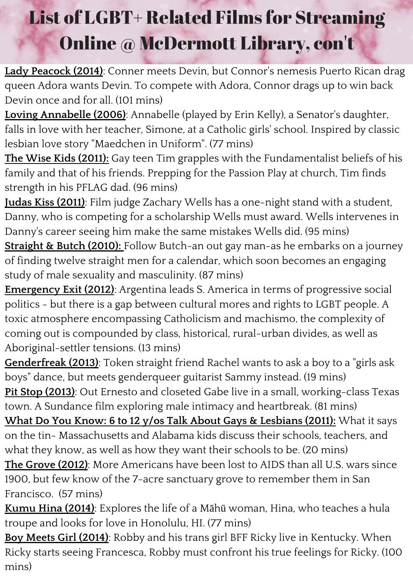**Lady Peacock (2014)**: Conner meets Devin, but Connor's nemesis Puerto Rican drag queen Adora wants Devin. To compete with Adora, Connor drags up to win back Devin once and for all. (101 mins)

**Loving Annabelle (2006)**: Annabelle (played by Erin Kelly), a Senator's daughter, falls in love with her teacher, Simone, at a Catholic girls' school. Inspired by classic lesbian love story "Maedchen in Uniform". (77 mins)

**The Wise Kids (2011):** Gay teen Tim grapples with the Fundamentalist beliefs of his family and that of his friends. Prepping for the Passion Play at church, Tim finds strength in his PFLAG dad. (96 mins)

**Judas Kiss (2011)**: Film judge Zachary Wells has a one-night stand with a student, Danny, who is competing for a scholarship Wells must award. Wells intervenes in Danny's career seeing him make the same mistakes Wells did. (95 mins)

**Straight & Butch (2010):** Follow Butch-an out gay man-as he embarks on a journey of finding twelve straight men for a calendar, which soon becomes an engaging study of male sexuality and masculinity. (87 mins)

**Emergency Exit (2012)**: Argentina leads S. America in terms of progressive social politics - but there is a gap between cultural mores and rights to LGBT people. A toxic atmosphere encompassing Catholicism and machismo, the complexity of coming out is compounded by class, historical, rural-urban divides, as well as Aboriginal-settler tensions. (13 mins)

**Genderfreak (2013)**: Token straight friend Rachel wants to ask a boy to a "girls ask boys" dance, but meets genderqueer guitarist Sammy instead. (19 mins) **Pit Stop (2013)**: Out Ernesto and closeted Gabe live in a small, working-class Texas town. A Sundance film exploring male intimacy and heartbreak. (81 mins)

**What Do You Know: 6 to 12 y/os Talk About Gays & Lesbians (2011):** What it says on the tin- Massachusetts and Alabama kids discuss their schools, teachers, and what they know, as well as how they want their schools to be. (20 mins)

**The Grove (2012)**: More Americans have been lost to AIDS than all U.S. wars since 1900, but few know of the 7-acre sanctuary grove to remember them in San Francisco. (57 mins)

**Kumu Hina (2014)**: Explores the life of a Māhū woman, Hina, who teaches a hula troupe and looks for love in Honolulu, HI. (77 mins)

**Boy Meets Girl (2014)**: Robby and his trans girl BFF Ricky live in Kentucky. When Ricky starts seeing Francesca, Robby must confront his true feelings for Ricky. (100 mins)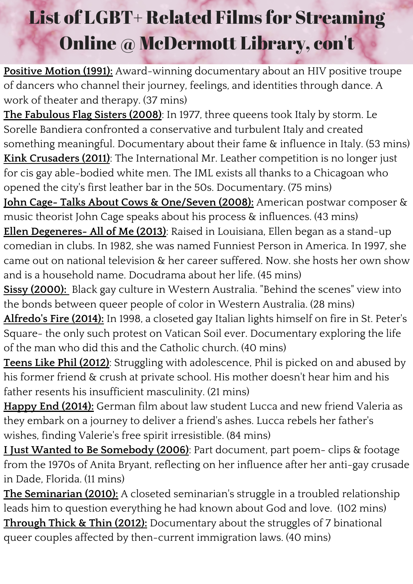**Positive Motion (1991):** Award-winning documentary about an HIV positive troupe of dancers who channel their journey, feelings, and identities through dance. A work of theater and therapy. (37 mins)

**The Fabulous Flag Sisters (2008)**: In 1977, three queens took Italy by storm. Le Sorelle Bandiera confronted a conservative and turbulent Italy and created something meaningful. Documentary about their fame & influence in Italy. (53 mins) **Kink Crusaders (2011)**: The International Mr. Leather competition is no longer just for cis gay able-bodied white men. The IML exists all thanks to a Chicagoan who opened the city's first leather bar in the 50s. Documentary. (75 mins)

**John Cage- Talks About Cows & One/Seven (2008):** American postwar composer & music theorist John Cage speaks about his process & influences. (43 mins)

**Ellen Degeneres- All of Me (2013)**: Raised in Louisiana, Ellen began as a stand-up comedian in clubs. In 1982, she was named Funniest Person in America. In 1997, she came out on national television & her career suffered. Now. she hosts her own show and is a household name. Docudrama about her life. (45 mins)

**Sissy (2000):** Black gay culture in Western Australia. "Behind the scenes" view into the bonds between queer people of color in Western Australia. (28 mins)

**Alfredo's Fire (2014):** In 1998, a closeted gay Italian lights himself on fire in St. Peter's Square- the only such protest on Vatican Soil ever. Documentary exploring the life of the man who did this and the Catholic church. (40 mins)

**Teens Like Phil (2012)**: Struggling with adolescence, Phil is picked on and abused by his former friend & crush at private school. His mother doesn't hear him and his father resents his insufficient masculinity. (21 mins)

**Happy End (2014):** German film about law student Lucca and new friend Valeria as they embark on a journey to deliver a friend's ashes. Lucca rebels her father's wishes, finding Valerie's free spirit irresistible. (84 mins)

**I Just Wanted to Be Somebody (2006)**: Part document, part poem- clips & footage from the 1970s of Anita Bryant, reflecting on her influence after her anti-gay crusade in Dade, Florida. (11 mins)

**The Seminarian (2010):** A closeted seminarian's struggle in a troubled relationship leads him to question everything he had known about God and love. (102 mins) **Through Thick & Thin (2012):** Documentary about the struggles of 7 binational queer couples affected by then-current immigration laws. (40 mins)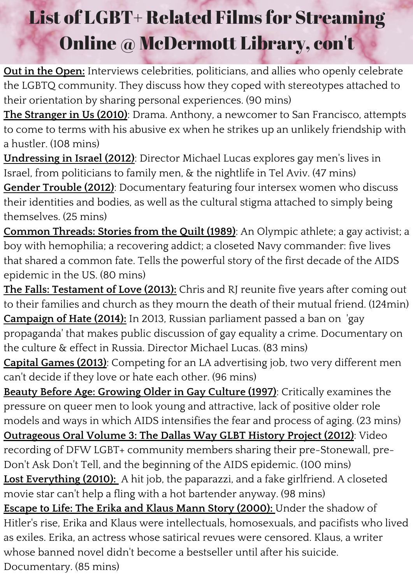**Out in the Open:** Interviews celebrities, politicians, and allies who openly celebrate the LGBTQ community. They discuss how they coped with stereotypes attached to their orientation by sharing personal experiences. (90 mins)

**The Stranger in Us (2010)**: Drama. Anthony, a newcomer to San Francisco, attempts to come to terms with his abusive ex when he strikes up an unlikely friendship with a hustler. (108 mins)

**Undressing in Israel (2012)**: Director Michael Lucas explores gay men's lives in Israel, from politicians to family men, & the nightlife in Tel Aviv. (47 mins) **Gender Trouble (2012)**: Documentary featuring four intersex women who discuss their identities and bodies, as well as the cultural stigma attached to simply being themselves. (25 mins)

**Common Threads: Stories from the Quilt (1989)**: An Olympic athlete; a gay activist; a boy with hemophilia; a recovering addict; a closeted Navy commander: five lives that shared a common fate. Tells the powerful story of the first decade of the AIDS epidemic in the US. (80 mins)

**The Falls: Testament of Love (2013):** Chris and RJ reunite five years after coming out to their families and church as they mourn the death of their mutual friend. (124min) **Campaign of Hate (2014):** In 2013, Russian parliament passed a ban on 'gay propaganda' that makes public discussion of gay equality a crime. Documentary on the culture & effect in Russia. Director Michael Lucas. (83 mins)

**Capital Games (2013)**: Competing for an LA advertising job, two very different men can't decide if they love or hate each other. (96 mins)

**Beauty Before Age: Growing Older in Gay Culture (1997)**: Critically examines the pressure on queer men to look young and attractive, lack of positive older role models and ways in which AIDS intensifies the fear and process of aging. (23 mins) **Outrageous Oral Volume 3: The Dallas Way GLBT History Project (2012)**: Video recording of DFW LGBT+ community members sharing their pre-Stonewall, pre-Don't Ask Don't Tell, and the beginning of the AIDS epidemic. (100 mins) **Lost Everything (2010):** A hit job, the paparazzi, and a fake girlfriend. A closeted movie star can't help a fling with a hot bartender anyway. (98 mins) **Escape to Life: The Erika and Klaus Mann Story (2000):** Under the shadow of Hitler's rise, Erika and Klaus were intellectuals, homosexuals, and pacifists who lived as exiles. Erika, an actress whose satirical revues were censored. Klaus, a writer whose banned novel didn't become a bestseller until after his suicide. Documentary. (85 mins)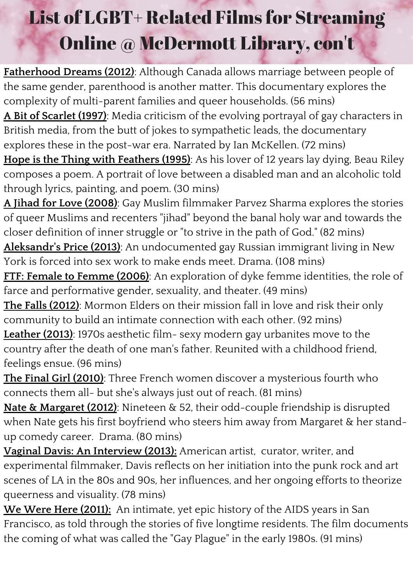**Fatherhood Dreams (2012)**: Although Canada allows marriage between people of the same gender, parenthood is another matter. This documentary explores the complexity of multi-parent families and queer households. (56 mins) **A Bit of Scarlet (1997)**: Media criticism of the evolving portrayal of gay characters in British media, from the butt of jokes to sympathetic leads, the documentary explores these in the post-war era. Narrated by Ian McKellen. (72 mins) **Hope is the Thing with Feathers (1995)**: As his lover of 12 years lay dying, Beau Riley composes a poem. A portrait of love between a disabled man and an alcoholic told through lyrics, painting, and poem. (30 mins)

**A Jihad for Love (2008)**: Gay Muslim filmmaker Parvez Sharma explores the stories of queer Muslims and recenters "jihad" beyond the banal holy war and towards the closer definition of inner struggle or "to strive in the path of God." (82 mins)

**Aleksandr's Price (2013)**: An undocumented gay Russian immigrant living in New York is forced into sex work to make ends meet. Drama. (108 mins)

**FTF: Female to Femme (2006)**: An exploration of dyke femme identities, the role of farce and performative gender, sexuality, and theater. (49 mins)

**The Falls (2012)**: Mormon Elders on their mission fall in love and risk their only community to build an intimate connection with each other. (92 mins)

**Leather (2013)**: 1970s aesthetic film- sexy modern gay urbanites move to the country after the death of one man's father. Reunited with a childhood friend, feelings ensue. (96 mins)

**The Final Girl (2010)**: Three French women discover a mysterious fourth who connects them all- but she's always just out of reach. (81 mins)

**Nate & Margaret (2012)**: Nineteen & 52, their odd-couple friendship is disrupted when Nate gets his first boyfriend who steers him away from Margaret & her standup comedy career. Drama. (80 mins)

**Vaginal Davis: An Interview (2013):** American artist, curator, writer, and experimental filmmaker, Davis reflects on her initiation into the punk rock and art scenes of LA in the 80s and 90s, her influences, and her ongoing efforts to theorize queerness and visuality. (78 mins)

**We Were Here (2011):** An intimate, yet epic history of the AIDS years in San Francisco, as told through the stories of five longtime residents. The film documents the coming of what was called the "Gay Plague" in the early 1980s. (91 mins)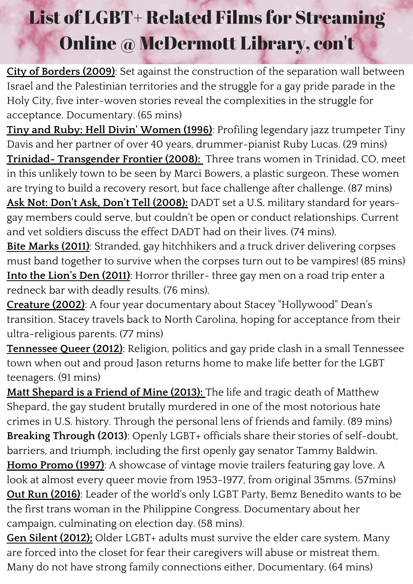**City of Borders (2009)**: Set against the construction of the separation wall between Israel and the Palestinian territories and the struggle for a gay pride parade in the Holy City, five inter-woven stories reveal the complexities in the struggle for acceptance. Documentary. (65 mins)

**Tiny and Ruby: Hell Divin' Women (1996)**: Profiling legendary jazz trumpeter Tiny Davis and her partner of over 40 years, drummer-pianist Ruby Lucas. (29 mins) **Trinidad- Transgender Frontier (2008):** Three trans women in Trinidad, CO, meet in this unlikely town to be seen by Marci Bowers, a plastic surgeon. These women are trying to build a recovery resort, but face challenge after challenge. (87 mins) **Ask Not: Don't Ask, Don't Tell (2008):** DADT set a U.S. military standard for yearsgay members could serve, but couldn't be open or conduct relationships. Current and vet soldiers discuss the effect DADT had on their lives. (74 mins).

**Bite Marks (2011)**: Stranded, gay hitchhikers and a truck driver delivering corpses must band together to survive when the corpses turn out to be vampires! (85 mins) **Into the Lion's Den (2011)**: Horror thriller- three gay men on a road trip enter a redneck bar with deadly results. (76 mins).

**Creature (2002)**: A four year documentary about Stacey "Hollywood" Dean's transition. Stacey travels back to North Carolina, hoping for acceptance from their ultra-religious parents. (77 mins)

**Tennessee Queer (2012)**: Religion, politics and gay pride clash in a small Tennessee town when out and proud Jason returns home to make life better for the LGBT teenagers. (91 mins)

**Matt Shepard is a Friend of Mine (2013):** The life and tragic death of Matthew Shepard, the gay student brutally murdered in one of the most notorious hate crimes in U.S. history. Through the personal lens of friends and family. (89 mins) **Breaking Through (2013)**: Openly LGBT+ officials share their stories of self-doubt, barriers, and triumph, including the first openly gay senator Tammy Baldwin. **Homo Promo (1997)**: A showcase of vintage movie trailers featuring gay love. A look at almost every queer movie from 1953-1977, from original 35mms. (57mins) **Out Run (2016)**: Leader of the world's only LGBT Party, Bemz Benedito wants to be the first trans woman in the Philippine Congress. Documentary about her campaign, culminating on election day. (58 mins).

**Gen Silent (2012);** Older LGBT+ adults must survive the elder care system. Many are forced into the closet for fear their caregivers will abuse or mistreat them. Many do not have strong family connections either. Documentary. (64 mins)